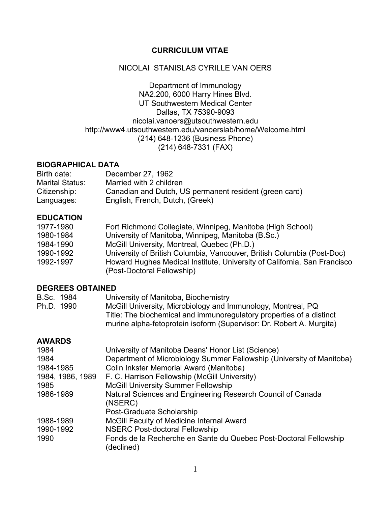## **CURRICULUM VITAE**

## NICOLAI STANISLAS CYRILLE VAN OERS

Department of Immunology NA2.200, 6000 Harry Hines Blvd. UT Southwestern Medical Center Dallas, TX 75390-9093 nicolai.vanoers@utsouthwestern.edu http://www4.utsouthwestern.edu/vanoerslab/home/Welcome.html (214) 648-1236 (Business Phone) (214) 648-7331 (FAX)

## **BIOGRAPHICAL DATA**

| Birth date:            | December 27, 1962                                      |
|------------------------|--------------------------------------------------------|
| <b>Marital Status:</b> | Married with 2 children                                |
| Citizenship:           | Canadian and Dutch, US permanent resident (green card) |
| Languages:             | English, French, Dutch, (Greek)                        |

## **EDUCATION**

| 1977-1980 | Fort Richmond Collegiate, Winnipeg, Manitoba (High School)               |
|-----------|--------------------------------------------------------------------------|
| 1980-1984 | University of Manitoba, Winnipeg, Manitoba (B.Sc.)                       |
| 1984-1990 | McGill University, Montreal, Quebec (Ph.D.)                              |
| 1990-1992 | University of British Columbia, Vancouver, British Columbia (Post-Doc)   |
| 1992-1997 | Howard Hughes Medical Institute, University of California, San Francisco |
|           | (Post-Doctoral Fellowship)                                               |

## **DEGREES OBTAINED**

| B.Sc. 1984 | University of Manitoba, Biochemistry                                 |
|------------|----------------------------------------------------------------------|
| Ph.D. 1990 | McGill University, Microbiology and Immunology, Montreal, PQ         |
|            | Title: The biochemical and immunoregulatory properties of a distinct |
|            | murine alpha-fetoprotein isoform (Supervisor: Dr. Robert A. Murgita) |

## **AWARDS**

| 1984             | University of Manitoba Deans' Honor List (Science)                              |
|------------------|---------------------------------------------------------------------------------|
| 1984             | Department of Microbiology Summer Fellowship (University of Manitoba)           |
| 1984-1985        | Colin Inkster Memorial Award (Manitoba)                                         |
| 1984, 1986, 1989 | F. C. Harrison Fellowship (McGill University)                                   |
| 1985             | <b>McGill University Summer Fellowship</b>                                      |
| 1986-1989        | Natural Sciences and Engineering Research Council of Canada                     |
|                  | (NSERC)                                                                         |
|                  | Post-Graduate Scholarship                                                       |
| 1988-1989        | McGill Faculty of Medicine Internal Award                                       |
| 1990-1992        | <b>NSERC Post-doctoral Fellowship</b>                                           |
| 1990             | Fonds de la Recherche en Sante du Quebec Post-Doctoral Fellowship<br>(declined) |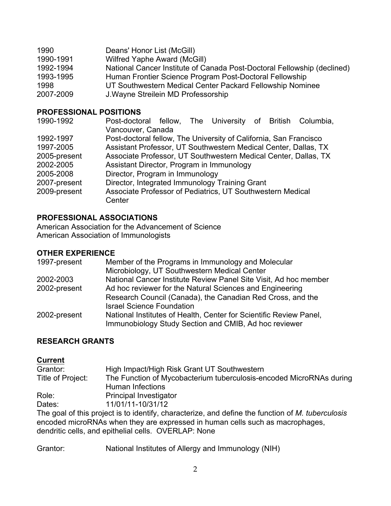| 1990      | Deans' Honor List (McGill)                                              |
|-----------|-------------------------------------------------------------------------|
| 1990-1991 | Wilfred Yaphe Award (McGill)                                            |
| 1992-1994 | National Cancer Institute of Canada Post-Doctoral Fellowship (declined) |
| 1993-1995 | Human Frontier Science Program Post-Doctoral Fellowship                 |
| 1998      | UT Southwestern Medical Center Packard Fellowship Nominee               |
| 2007-2009 | J. Wayne Streilein MD Professorship                                     |

### **PROFESSIONAL POSITIONS**

| 1990-1992    | Post-doctoral fellow, The University of British Columbia,         |
|--------------|-------------------------------------------------------------------|
|              | Vancouver, Canada                                                 |
| 1992-1997    | Post-doctoral fellow, The University of California, San Francisco |
| 1997-2005    | Assistant Professor, UT Southwestern Medical Center, Dallas, TX   |
| 2005-present | Associate Professor, UT Southwestern Medical Center, Dallas, TX   |
| 2002-2005    | Assistant Director, Program in Immunology                         |
| 2005-2008    | Director, Program in Immunology                                   |
| 2007-present | Director, Integrated Immunology Training Grant                    |
| 2009-present | Associate Professor of Pediatrics, UT Southwestern Medical        |
|              | Center                                                            |

## **PROFESSIONAL ASSOCIATIONS**

American Association for the Advancement of Science American Association of Immunologists

#### **OTHER EXPERIENCE**

| 1997-present | Member of the Programs in Immunology and Molecular<br>Microbiology, UT Southwestern Medical Center                          |
|--------------|-----------------------------------------------------------------------------------------------------------------------------|
| 2002-2003    | National Cancer Institute Review Panel Site Visit, Ad hoc member                                                            |
| 2002-present | Ad hoc reviewer for the Natural Sciences and Engineering                                                                    |
|              | Research Council (Canada), the Canadian Red Cross, and the                                                                  |
|              | <b>Israel Science Foundation</b>                                                                                            |
| 2002-present | National Institutes of Health, Center for Scientific Review Panel,<br>Immunobiology Study Section and CMIB, Ad hoc reviewer |

## **RESEARCH GRANTS**

# **Current**

| Grantor:          | High Impact/High Risk Grant UT Southwestern                                                     |
|-------------------|-------------------------------------------------------------------------------------------------|
| Title of Project: | The Function of Mycobacterium tuberculosis-encoded MicroRNAs during                             |
|                   | Human Infections                                                                                |
| Role:             | Principal Investigator                                                                          |
| Dates:            | 11/01/11-10/31/12                                                                               |
|                   | The goal of this project is to identify characterize and define the function of M, tuberculogie |

The goal of this project is to identify, characterize, and define the function of *M. tuberculosis* encoded microRNAs when they are expressed in human cells such as macrophages, dendritic cells, and epithelial cells. OVERLAP: None

Grantor: National Institutes of Allergy and Immunology (NIH)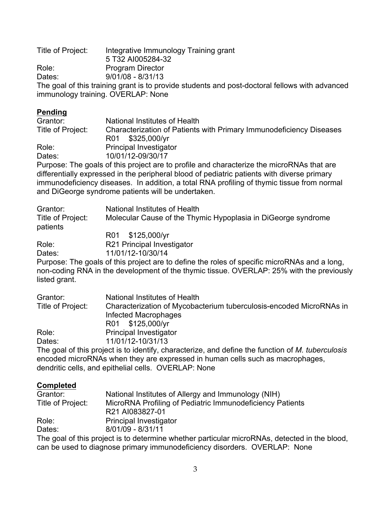Title of Project: Integrative Immunology Training grant 5 T32 AI005284-32 Role: Program Director Dates: 9/01/08 - 8/31/13 The goal of this training grant is to provide students and post-doctoral fellows with advanced immunology training. OVERLAP: None

# **Pending**

| Grantor:          | National Institutes of Health                                                             |
|-------------------|-------------------------------------------------------------------------------------------|
| Title of Project: | Characterization of Patients with Primary Immunodeficiency Diseases                       |
|                   | R01 \$325,000/yr                                                                          |
| Role:             | <b>Principal Investigator</b>                                                             |
| Dates:            | 10/01/12-09/30/17                                                                         |
|                   | Durnage: The goole of this project are to profile and oberactorize the mieroDNAs that are |

Purpose: The goals of this project are to profile and characterize the microRNAs that are differentially expressed in the peripheral blood of pediatric patients with diverse primary immunodeficiency diseases. In addition, a total RNA profiling of thymic tissue from normal and DiGeorge syndrome patients will be undertaken.

| Grantor:                      | National Institutes of Health                                 |
|-------------------------------|---------------------------------------------------------------|
| Title of Project:<br>patients | Molecular Cause of the Thymic Hypoplasia in DiGeorge syndrome |
|                               | R01 \$125,000/yr                                              |
| Role:                         | R21 Principal Investigator                                    |

Dates: 11/01/12-10/30/14

Purpose: The goals of this project are to define the roles of specific microRNAs and a long, non-coding RNA in the development of the thymic tissue. OVERLAP: 25% with the previously listed grant.

| Grantor:          | National Institutes of Health                                                                    |
|-------------------|--------------------------------------------------------------------------------------------------|
| Title of Project: | Characterization of Mycobacterium tuberculosis-encoded MicroRNAs in                              |
|                   | Infected Macrophages                                                                             |
|                   | R01 \$125,000/yr                                                                                 |
| Role:             | <b>Principal Investigator</b>                                                                    |
| Dates:            | 11/01/12-10/31/13                                                                                |
|                   | The goal of this project is to identify characterize, and define the function of M, tuberculosis |

The goal of this project is to identify, characterize, and define the function of *M. tuberculosis* encoded microRNAs when they are expressed in human cells such as macrophages, dendritic cells, and epithelial cells. OVERLAP: None

# **Completed**

| Grantor:          | National Institutes of Allergy and Immunology (NIH)       |
|-------------------|-----------------------------------------------------------|
| Title of Project: | MicroRNA Profiling of Pediatric Immunodeficiency Patients |
|                   | R21 AI083827-01                                           |
| Role:             | <b>Principal Investigator</b>                             |
| Dates:            | 8/01/09 - 8/31/11                                         |
|                   |                                                           |

The goal of this project is to determine whether particular microRNAs, detected in the blood, can be used to diagnose primary immunodeficiency disorders. OVERLAP: None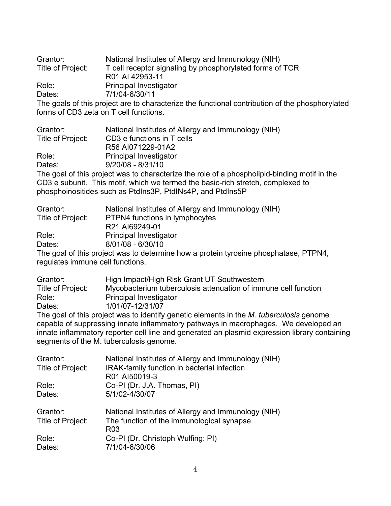Grantor: National Institutes of Allergy and Immunology (NIH) Title of Project: T cell receptor signaling by phosphorylated forms of TCR R01 AI 42953-11 Role: Principal Investigator Dates: 7/1/04-6/30/11 The goals of this project are to characterize the functional contribution of the phosphorylated forms of CD3 zeta on T cell functions.

| Grantor:          | National Institutes of Allergy and Immunology (NIH) |  |
|-------------------|-----------------------------------------------------|--|
| Title of Project: | CD3 e functions in T cells                          |  |
|                   | R56 AI071229-01A2                                   |  |
| Role:             | <b>Principal Investigator</b>                       |  |

Dates: 9/20/08 - 8/31/10

The goal of this project was to characterize the role of a phospholipid-binding motif in the CD3 e subunit. This motif, which we termed the basic-rich stretch, complexed to phosphoinositides such as PtdIns3P, PtdINs4P, and PtdIns5P

| Grantor:                         | National Institutes of Allergy and Immunology (NIH)                                  |
|----------------------------------|--------------------------------------------------------------------------------------|
| Title of Project:                | PTPN4 functions in lymphocytes                                                       |
|                                  | R <sub>21</sub> Al <sub>69249-01</sub>                                               |
| Role:                            | <b>Principal Investigator</b>                                                        |
| Dates:                           | $8/01/08 - 6/30/10$                                                                  |
|                                  | The goal of this project was to determine how a protein tyrosine phosphatase, PTPN4, |
| regulates immune cell functions. |                                                                                      |

| Grantor:                                                                                       | High Impact/High Risk Grant UT Southwestern                    |  |
|------------------------------------------------------------------------------------------------|----------------------------------------------------------------|--|
| Title of Project:                                                                              | Mycobacterium tuberculosis attenuation of immune cell function |  |
| Role:                                                                                          | <b>Principal Investigator</b>                                  |  |
| Dates:                                                                                         | 1/01/07-12/31/07                                               |  |
| The goal of this project was to identify genetic elements in the <i>M. tuberculosis</i> genome |                                                                |  |
| capable of suppressing innate inflammatory pathways in macrophages. We developed an            |                                                                |  |
| innate inflammatory reporter cell line and generated an plasmid expression library containing  |                                                                |  |
| segments of the M. tuberculosis genome.                                                        |                                                                |  |

| Grantor:<br>Title of Project: | National Institutes of Allergy and Immunology (NIH)<br>IRAK-family function in bacterial infection<br>R01 AI50019-3 |
|-------------------------------|---------------------------------------------------------------------------------------------------------------------|
| Role:                         | Co-PI (Dr. J.A. Thomas, PI)                                                                                         |
| Dates:                        | 5/1/02-4/30/07                                                                                                      |
| Grantor:<br>Title of Project: | National Institutes of Allergy and Immunology (NIH)<br>The function of the immunological synapse<br>R <sub>03</sub> |
| Role:<br>Dates:               | Co-PI (Dr. Christoph Wulfing: PI)<br>7/1/04-6/30/06                                                                 |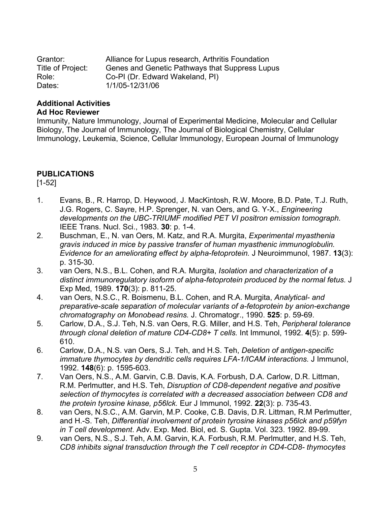| Grantor:          | Alliance for Lupus research, Arthritis Foundation |
|-------------------|---------------------------------------------------|
| Title of Project: | Genes and Genetic Pathways that Suppress Lupus    |
| Role:             | Co-PI (Dr. Edward Wakeland, PI)                   |
| Dates:            | 1/1/05-12/31/06                                   |

#### **Additional Activities Ad Hoc Reviewer**

Immunity, Nature Immunology, Journal of Experimental Medicine, Molecular and Cellular Biology, The Journal of Immunology, The Journal of Biological Chemistry, Cellular Immunology, Leukemia, Science, Cellular Immunology, European Journal of Immunology

# **PUBLICATIONS**

[1-52]

- 1. Evans, B., R. Harrop, D. Heywood, J. MacKintosh, R.W. Moore, B.D. Pate, T.J. Ruth, J.G. Rogers, C. Sayre, H.P. Sprenger, N. van Oers, and G. Y-X., *Engineering developments on the UBC-TRIUMF modified PET VI positron emission tomograph.* IEEE Trans. Nucl. Sci., 1983. **30**: p. 1-4.
- 2. Buschman, E., N. van Oers, M. Katz, and R.A. Murgita, *Experimental myasthenia gravis induced in mice by passive transfer of human myasthenic immunoglobulin. Evidence for an ameliorating effect by alpha-fetoprotein.* J Neuroimmunol, 1987. **13**(3): p. 315-30.
- 3. van Oers, N.S., B.L. Cohen, and R.A. Murgita, *Isolation and characterization of a distinct immunoregulatory isoform of alpha-fetoprotein produced by the normal fetus.* J Exp Med, 1989. **170**(3): p. 811-25.
- 4. van Oers, N.S.C., R. Boismenu, B.L. Cohen, and R.A. Murgita, *Analytical- and preparative-scale separation of molecular variants of a-fetoprotein by anion-exchange chromatography on Monobead resins.* J. Chromatogr., 1990. **525**: p. 59-69.
- 5. Carlow, D.A., S.J. Teh, N.S. van Oers, R.G. Miller, and H.S. Teh, *Peripheral tolerance through clonal deletion of mature CD4-CD8+ T cells.* Int Immunol, 1992. **4**(5): p. 599- 610.
- 6. Carlow, D.A., N.S. van Oers, S.J. Teh, and H.S. Teh, *Deletion of antigen-specific immature thymocytes by dendritic cells requires LFA-1/ICAM interactions.* J Immunol, 1992. **148**(6): p. 1595-603.
- 7. Van Oers, N.S., A.M. Garvin, C.B. Davis, K.A. Forbush, D.A. Carlow, D.R. Littman, R.M. Perlmutter, and H.S. Teh, *Disruption of CD8-dependent negative and positive selection of thymocytes is correlated with a decreased association between CD8 and the protein tyrosine kinase, p56lck.* Eur J Immunol, 1992. **22**(3): p. 735-43.
- 8. van Oers, N.S.C., A.M. Garvin, M.P. Cooke, C.B. Davis, D.R. Littman, R.M Perlmutter, and H.-S. Teh, *Differential involvement of protein tyrosine kinases p56lck and p59fyn in T cell development*. Adv. Exp. Med. Biol, ed. S. Gupta. Vol. 323. 1992. 89-99.
- 9. van Oers, N.S., S.J. Teh, A.M. Garvin, K.A. Forbush, R.M. Perlmutter, and H.S. Teh, *CD8 inhibits signal transduction through the T cell receptor in CD4-CD8- thymocytes*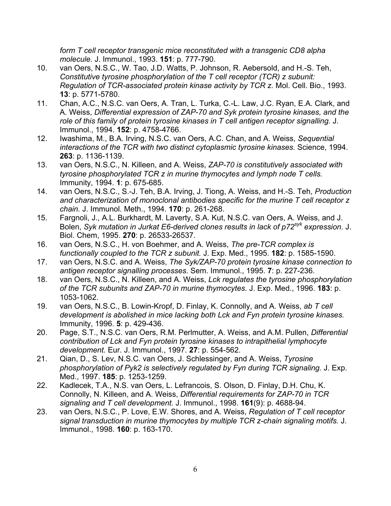*form T cell receptor transgenic mice reconstituted with a transgenic CD8 alpha molecule.* J. Immunol., 1993. **151**: p. 777-790.

- 10. van Oers, N.S.C., W. Tao, J.D. Watts, P. Johnson, R. Aebersold, and H.-S. Teh, *Constitutive tyrosine phosphorylation of the T cell receptor (TCR) z subunit: Regulation of TCR-associated protein kinase activity by TCR z.* Mol. Cell. Bio., 1993. **13**: p. 5771-5780.
- 11. Chan, A.C., N.S.C. van Oers, A. Tran, L. Turka, C.-L. Law, J.C. Ryan, E.A. Clark, and A. Weiss, *Differential expression of ZAP-70 and Syk protein tyrosine kinases, and the role of this family of protein tyrosine kinases in T cell antigen receptor signalling.* J. Immunol., 1994. **152**: p. 4758-4766.
- 12. Iwashima, M., B.A. Irving, N.S.C. van Oers, A.C. Chan, and A. Weiss, *Sequential interactions of the TCR with two distinct cytoplasmic tyrosine kinases.* Science, 1994. **263**: p. 1136-1139.
- 13. van Oers, N.S.C., N. Killeen, and A. Weiss, *ZAP-70 is constitutively associated with tyrosine phosphorylated TCR z in murine thymocytes and lymph node T cells.* Immunity, 1994. **1**: p. 675-685.
- 14. van Oers, N.S.C., S.-J. Teh, B.A. Irving, J. Tiong, A. Weiss, and H.-S. Teh, *Production and characterization of monoclonal antibodies specific for the murine T cell receptor z chain.* J. Immunol. Meth., 1994. **170**: p. 261-268.
- 15. Fargnoli, J., A.L. Burkhardt, M. Laverty, S.A. Kut, N.S.C. van Oers, A. Weiss, and J. Bolen, *Syk mutation in Jurkat E6-derived clones results in lack of p72syk expression.* J. Biol. Chem, 1995. **270**: p. 26533-26537.
- 16. van Oers, N.S.C., H. von Boehmer, and A. Weiss, *The pre-TCR complex is functionally coupled to the TCR z subunit.* J. Exp. Med., 1995. **182**: p. 1585-1590.
- 17. van Oers, N.S.C. and A. Weiss, *The Syk/ZAP-70 protein tyrosine kinase connection to antigen receptor signalling processes.* Sem. Immunol., 1995. **7**: p. 227-236.
- 18. van Oers, N.S.C., N. Killeen, and A. Weiss, *Lck regulates the tyrosine phosphorylation of the TCR subunits and ZAP-70 in murine thymocytes.* J. Exp. Med., 1996. **183**: p. 1053-1062.
- 19. van Oers, N.S.C., B. Lowin-Kropf, D. Finlay, K. Connolly, and A. Weiss, *ab T cell development is abolished in mice lacking both Lck and Fyn protein tyrosine kinases.* Immunity, 1996. **5**: p. 429-436.
- 20. Page, S.T., N.S.C. van Oers, R.M. Perlmutter, A. Weiss, and A.M. Pullen, *Differential contribution of Lck and Fyn protein tyrosine kinases to intrapithelial lymphocyte development.* Eur. J. Immunol., 1997. **27**: p. 554-562.
- 21. Qian, D., S. Lev, N.S.C. van Oers, J. Schlessinger, and A. Weiss, *Tyrosine phosphorylation of Pyk2 is selectively regulated by Fyn during TCR signaling.* J. Exp. Med., 1997. **185**: p. 1253-1259.
- 22. Kadlecek, T.A., N.S. van Oers, L. Lefrancois, S. Olson, D. Finlay, D.H. Chu, K. Connolly, N. Killeen, and A. Weiss, *Differential requirements for ZAP-70 in TCR signaling and T cell development.* J. Immunol., 1998. **161**(9): p. 4688-94.
- 23. van Oers, N.S.C., P. Love, E.W. Shores, and A. Weiss, *Regulation of T cell receptor signal transduction in murine thymocytes by multiple TCR z-chain signaling motifs.* J. Immunol., 1998. **160**: p. 163-170.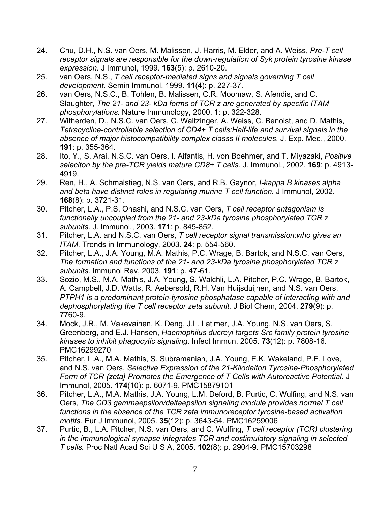- 24. Chu, D.H., N.S. van Oers, M. Malissen, J. Harris, M. Elder, and A. Weiss, *Pre-T cell receptor signals are responsible for the down-regulation of Syk protein tyrosine kinase expression.* J Immunol, 1999. **163**(5): p. 2610-20.
- 25. van Oers, N.S., *T cell receptor-mediated signs and signals governing T cell development.* Semin Immunol, 1999. **11**(4): p. 227-37.
- 26. van Oers, N.S.C., B. Tohlen, B. Malissen, C.R. Moomaw, S. Afendis, and C. Slaughter, *The 21- and 23- kDa forms of TCR z are generated by specific ITAM phosphorylations.* Nature Immunology, 2000. **1**: p. 322-328.
- 27. Witherden, D., N.S.C. van Oers, C. Waltzinger, A. Weiss, C. Benoist, and D. Mathis, *Tetracycline-controllable selection of CD4+ T cells:Half-life and survival signals in the absence of major histocompatibility complex classs II molecules.* J. Exp. Med., 2000. **191**: p. 355-364.
- 28. Ito, Y., S. Arai, N.S.C. van Oers, I. Aifantis, H. von Boehmer, and T. Miyazaki, *Positive seleciton by the pre-TCR yields mature CD8+ T cells.* J. Immunol., 2002. **169**: p. 4913- 4919.
- 29. Ren, H., A. Schmalstieg, N.S. van Oers, and R.B. Gaynor, *I-kappa B kinases alpha and beta have distinct roles in regulating murine T cell function.* J Immunol, 2002. **168**(8): p. 3721-31.
- 30. Pitcher, L.A., P.S. Ohashi, and N.S.C. van Oers, *T cell receptor antagonism is functionally uncoupled from the 21- and 23-kDa tyrosine phosphorylated TCR z subunits.* J. Immunol., 2003. **171**: p. 845-852.
- 31. Pitcher, L.A. and N.S.C. van Oers, *T cell receptor signal transmission:who gives an ITAM.* Trends in Immunology, 2003. **24**: p. 554-560.
- 32. Pitcher, L.A., J.A. Young, M.A. Mathis, P.C. Wrage, B. Bartok, and N.S.C. van Oers, *The formation and functions of the 21- and 23-kDa tyrosine phosphorylated TCR z subunits.* Immunol Rev, 2003. **191**: p. 47-61.
- 33. Sozio, M.S., M.A. Mathis, J.A. Young, S. Walchli, L.A. Pitcher, P.C. Wrage, B. Bartok, A. Campbell, J.D. Watts, R. Aebersold, R.H. Van Huijsduijnen, and N.S. van Oers, *PTPH1 is a predominant protein-tyrosine phosphatase capable of interacting with and dephosphorylating the T cell receptor zeta subunit.* J Biol Chem, 2004. **279**(9): p. 7760-9.
- 34. Mock, J.R., M. Vakevainen, K. Deng, J.L. Latimer, J.A. Young, N.S. van Oers, S. Greenberg, and E.J. Hansen, *Haemophilus ducreyi targets Src family protein tyrosine kinases to inhibit phagocytic signaling.* Infect Immun, 2005. **73**(12): p. 7808-16. PMC16299270
- 35. Pitcher, L.A., M.A. Mathis, S. Subramanian, J.A. Young, E.K. Wakeland, P.E. Love, and N.S. van Oers, *Selective Expression of the 21-Kilodalton Tyrosine-Phosphorylated Form of TCR {zeta} Promotes the Emergence of T Cells with Autoreactive Potential.* J Immunol, 2005. **174**(10): p. 6071-9. PMC15879101
- 36. Pitcher, L.A., M.A. Mathis, J.A. Young, L.M. Deford, B. Purtic, C. Wulfing, and N.S. van Oers, *The CD3 gammaepsilon/deltaepsilon signaling module provides normal T cell functions in the absence of the TCR zeta immunoreceptor tyrosine-based activation motifs.* Eur J Immunol, 2005. **35**(12): p. 3643-54. PMC16259006
- 37. Purtic, B., L.A. Pitcher, N.S. van Oers, and C. Wulfing, *T cell receptor (TCR) clustering in the immunological synapse integrates TCR and costimulatory signaling in selected T cells.* Proc Natl Acad Sci U S A, 2005. **102**(8): p. 2904-9. PMC15703298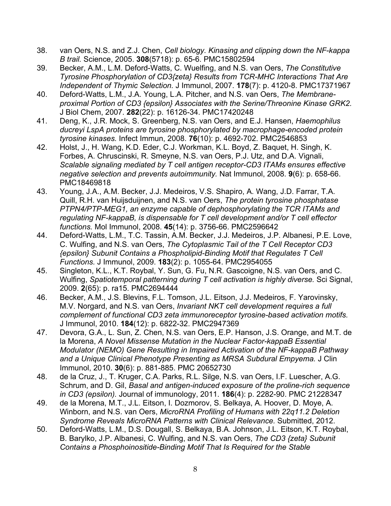- 38. van Oers, N.S. and Z.J. Chen, *Cell biology. Kinasing and clipping down the NF-kappa B trail.* Science, 2005. **308**(5718): p. 65-6. PMC15802594
- 39. Becker, A.M., L.M. Deford-Watts, C. Wuelfing, and N.S. van Oers, *The Constitutive Tyrosine Phosphorylation of CD3{zeta} Results from TCR-MHC Interactions That Are Independent of Thymic Selection.* J Immunol, 2007. **178**(7): p. 4120-8. PMC17371967
- 40. Deford-Watts, L.M., J.A. Young, L.A. Pitcher, and N.S. van Oers, *The Membraneproximal Portion of CD3 {epsilon} Associates with the Serine/Threonine Kinase GRK2.* J Biol Chem, 2007. **282**(22): p. 16126-34. PMC17420248
- 41. Deng, K., J.R. Mock, S. Greenberg, N.S. van Oers, and E.J. Hansen, *Haemophilus ducreyi LspA proteins are tyrosine phosphorylated by macrophage-encoded protein tyrosine kinases.* Infect Immun, 2008. **76**(10): p. 4692-702. PMC2546853
- 42. Holst, J., H. Wang, K.D. Eder, C.J. Workman, K.L. Boyd, Z. Baquet, H. Singh, K. Forbes, A. Chruscinski, R. Smeyne, N.S. van Oers, P.J. Utz, and D.A. Vignali, *Scalable signaling mediated by T cell antigen receptor-CD3 ITAMs ensures effective negative selection and prevents autoimmunity.* Nat Immunol, 2008. **9**(6): p. 658-66. PMC18469818
- 43. Young, J.A., A.M. Becker, J.J. Medeiros, V.S. Shapiro, A. Wang, J.D. Farrar, T.A. Quill, R.H. van Huijsduijnen, and N.S. van Oers, *The protein tyrosine phosphatase PTPN4/PTP-MEG1, an enzyme capable of dephosphorylating the TCR ITAMs and regulating NF-kappaB, is dispensable for T cell development and/or T cell effector functions.* Mol Immunol, 2008. **45**(14): p. 3756-66. PMC2596642
- 44. Deford-Watts, L.M., T.C. Tassin, A.M. Becker, J.J. Medeiros, J.P. Albanesi, P.E. Love, C. Wulfing, and N.S. van Oers, *The Cytoplasmic Tail of the T Cell Receptor CD3 {epsilon} Subunit Contains a Phospholipid-Binding Motif that Regulates T Cell Functions.* J Immunol, 2009. **183**(2): p. 1055-64. PMC2954055
- 45. Singleton, K.L., K.T. Roybal, Y. Sun, G. Fu, N.R. Gascoigne, N.S. van Oers, and C. Wulfing, *Spatiotemporal patterning during T cell activation is highly diverse.* Sci Signal, 2009. **2**(65): p. ra15. PMC2694444
- 46. Becker, A.M., J.S. Blevins, F.L. Tomson, J.L. Eitson, J.J. Medeiros, F. Yarovinsky, M.V. Norgard, and N.S. van Oers, *Invariant NKT cell development requires a full complement of functional CD3 zeta immunoreceptor tyrosine-based activation motifs.* J Immunol, 2010. **184**(12): p. 6822-32. PMC2947369
- 47. Devora, G.A., L. Sun, Z. Chen, N.S. van Oers, E.P. Hanson, J.S. Orange, and M.T. de la Morena, *A Novel Missense Mutation in the Nuclear Factor-kappaB Essential Modulator (NEMO) Gene Resulting in Impaired Activation of the NF-kappaB Pathway and a Unique Clinical Phenotype Presenting as MRSA Subdural Empyema.* J Clin Immunol, 2010. **30**(6): p. 881-885. PMC 20652730
- 48. de la Cruz, J., T. Kruger, C.A. Parks, R.L. Silge, N.S. van Oers, I.F. Luescher, A.G. Schrum, and D. Gil, *Basal and antigen-induced exposure of the proline-rich sequence in CD3 (epsilon).* Journal of immunology, 2011. **186**(4): p. 2282-90. PMC 21228347
- 49. de la Morena, M.T., J.L. Eitson, I. Dozmorov, S. Belkaya, A. Hoover, D. Moye, A. Winborn, and N.S. van Oers, *MicroRNA Profiling of Humans with 22q11.2 Deletion Syndrome Reveals MicroRNA Patterns with Clinical Relevance.* Submitted, 2012.
- 50. Deford-Watts, L.M., D.S. Dougall, S. Belkaya, B.A. Johnson, J.L. Eitson, K.T. Roybal, B. Barylko, J.P. Albanesi, C. Wulfing, and N.S. van Oers, *The CD3 {zeta} Subunit Contains a Phosphoinositide-Binding Motif That Is Required for the Stable*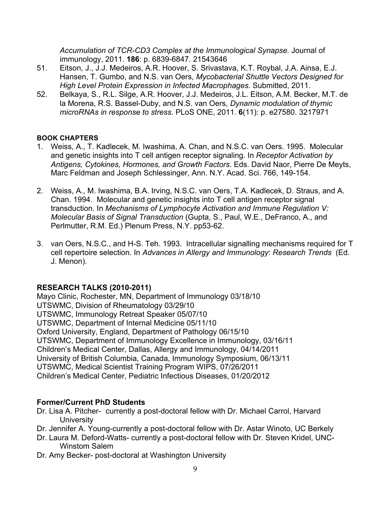*Accumulation of TCR-CD3 Complex at the Immunological Synapse.* Journal of immunology, 2011. **186**: p. 6839-6847. 21543646

- 51. Eitson, J., J.J. Medeiros, A.R. Hoover, S. Srivastava, K.T. Roybal, J.A. Ainsa, E.J. Hansen, T. Gumbo, and N.S. van Oers, *Mycobacterial Shuttle Vectors Designed for High Level Protein Expression in Infected Macrophages.* Submitted, 2011.
- 52. Belkaya, S., R.L. Silge, A.R. Hoover, J.J. Medeiros, J.L. Eitson, A.M. Becker, M.T. de la Morena, R.S. Bassel-Duby, and N.S. van Oers, *Dynamic modulation of thymic microRNAs in response to stress.* PLoS ONE, 2011. **6**(11): p. e27580. 3217971

## **BOOK CHAPTERS**

- 1. Weiss, A., T. Kadlecek, M. Iwashima, A. Chan, and N.S.C. van Oers. 1995. Molecular and genetic insights into T cell antigen receptor signaling. In *Receptor Activation by Antigens, Cytokines, Hormones, and Growth Factors*. Eds. David Naor, Pierre De Meyts, Marc Feldman and Joseph Schlessinger, Ann. N.Y. Acad. Sci. 766, 149-154.
- 2. Weiss, A., M. Iwashima, B.A. Irving, N.S.C. van Oers, T.A. Kadlecek, D. Straus, and A. Chan. 1994. Molecular and genetic insights into T cell antigen receptor signal transduction. In *Mechanisms of Lymphocyte Activation and Immune Regulation V: Molecular Basis of Signal Transduction* (Gupta, S., Paul, W.E., DeFranco, A., and Perlmutter, R.M. Ed.) Plenum Press, N.Y. pp53-62.
- 3. van Oers, N.S.C., and H-S. Teh. 1993. Intracellular signalling mechanisms required for T cell repertoire selection. In *Advances in Allergy and Immunology*: *Research Trends* (Ed. J. Menon).

# **RESEARCH TALKS (2010-2011)**

Mayo Clinic, Rochester, MN, Department of Immunology 03/18/10 UTSWMC, Division of Rheumatology 03/29/10 UTSWMC, Immunology Retreat Speaker 05/07/10 UTSWMC, Department of Internal Medicine 05/11/10 Oxford University, England, Department of Pathology 06/15/10 UTSWMC, Department of Immunology Excellence in Immunology, 03/16/11 Children's Medical Center, Dallas, Allergy and Immunology, 04/14/2011 University of British Columbia, Canada, Immunology Symposium, 06/13/11 UTSWMC, Medical Scientist Training Program WIPS, 07/26/2011 Children's Medical Center, Pediatric Infectious Diseases, 01/20/2012

# **Former/Current PhD Students**

- Dr. Lisa A. Pitcher- currently a post-doctoral fellow with Dr. Michael Carrol, Harvard **University**
- Dr. Jennifer A. Young-currently a post-doctoral fellow with Dr. Astar Winoto, UC Berkely
- Dr. Laura M. Deford-Watts- currently a post-doctoral fellow with Dr. Steven Kridel, UNC-Winstom Salem
- Dr. Amy Becker- post-doctoral at Washington University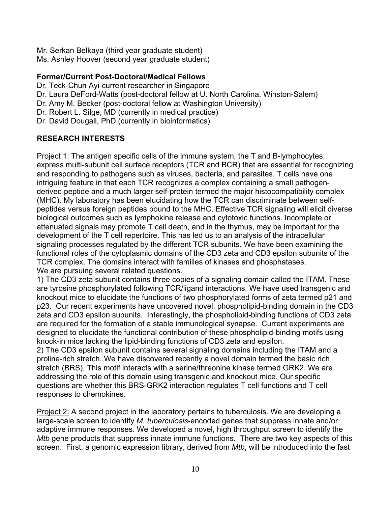Mr. Serkan Belkaya (third year graduate student) Ms. Ashley Hoover (second year graduate student)

## **Former/Current Post-Doctoral/Medical Fellows**

Dr. Teck-Chun Ayi-current researcher in Singapore Dr. Laura DeFord-Watts (post-doctoral fellow at U. North Carolina, Winston-Salem) Dr. Amy M. Becker (post-doctoral fellow at Washington University) Dr. Robert L. Silge, MD (currently in medical practice) Dr. David Dougall, PhD (currently in bioinformatics)

# **RESEARCH INTERESTS**

Project 1: The antigen specific cells of the immune system, the T and B-lymphocytes, express multi-subunit cell surface receptors (TCR and BCR) that are essential for recognizing and responding to pathogens such as viruses, bacteria, and parasites. T cells have one intriguing feature in that each TCR recognizes a complex containing a small pathogenderived peptide and a much larger self-protein termed the major histocompatibility complex (MHC). My laboratory has been elucidating how the TCR can discriminate between selfpeptides versus foreign peptides bound to the MHC. Effective TCR signaling will elicit diverse biological outcomes such as lymphokine release and cytotoxic functions. Incomplete or attenuated signals may promote T cell death, and in the thymus, may be important for the development of the T cell repertoire. This has led us to an analysis of the intracellular signaling processes regulated by the different TCR subunits. We have been examining the functional roles of the cytoplasmic domains of the CD3 zeta and CD3 epsilon subunits of the TCR complex. The domains interact with families of kinases and phosphatases. We are pursuing several related questions.

1) The CD3 zeta subunit contains three copies of a signaling domain called the ITAM. These are tyrosine phosphorylated following TCR/ligand interactions. We have used transgenic and knockout mice to elucidate the functions of two phosphorylated forms of zeta termed p21 and p23. Our recent experiments have uncovered novel, phospholipid-binding domain in the CD3 zeta and CD3 epsilon subunits. Interestingly, the phospholipid-binding functions of CD3 zeta are required for the formation of a stable immunological synapse. Current experiments are designed to elucidate the functional contribution of these phospholipid-binding motifs using knock-in mice lacking the lipid-binding functions of CD3 zeta and epsilon.

2) The CD3 epsilon subunit contains several signaling domains including the ITAM and a proline-rich stretch. We have discovered recently a novel domain termed the basic rich stretch (BRS). This motif interacts with a serine/threonine kinase termed GRK2. We are addressing the role of this domain using transgenic and knockout mice. Our specific questions are whether this BRS-GRK2 interaction regulates T cell functions and T cell responses to chemokines.

Project 2: A second project in the laboratory pertains to tuberculosis. We are developing a large-scale screen to identify *M. tuberculosis*-encoded genes that suppress innate and/or adaptive immune responses. We developed a novel, high throughput screen to identify the *Mtb* gene products that suppress innate immune functions. There are two key aspects of this screen. First, a genomic expression library, derived from *Mtb*, will be introduced into the fast